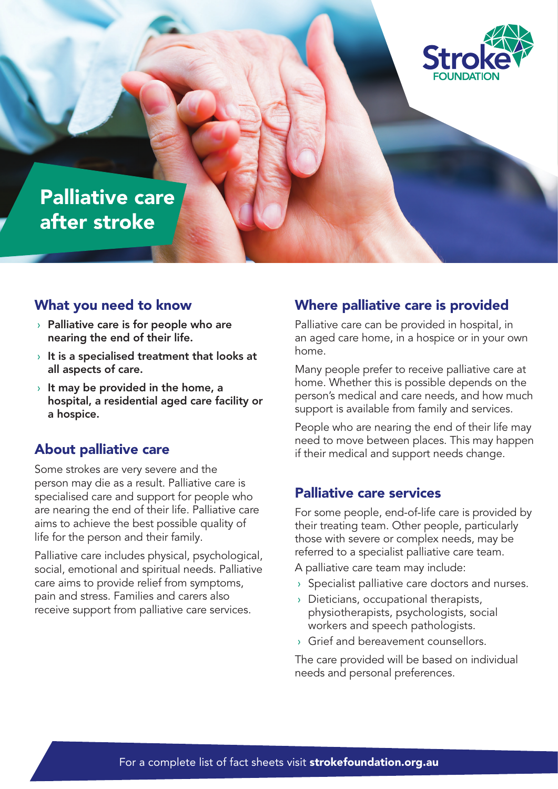

## Palliative care after stroke

#### What you need to know

- $\rightarrow$  Palliative care is for people who are nearing the end of their life.
- $\rightarrow$  It is a specialised treatment that looks at all aspects of care.
- $\rightarrow$  It may be provided in the home, a hospital, a residential aged care facility or a hospice.

#### About palliative care

Some strokes are very severe and the person may die as a result. Palliative care is specialised care and support for people who are nearing the end of their life. Palliative care aims to achieve the best possible quality of life for the person and their family.

Palliative care includes physical, psychological, social, emotional and spiritual needs. Palliative care aims to provide relief from symptoms, pain and stress. Families and carers also receive support from palliative care services.

#### Where palliative care is provided

Palliative care can be provided in hospital, in an aged care home, in a hospice or in your own home.

Many people prefer to receive palliative care at home. Whether this is possible depends on the person's medical and care needs, and how much support is available from family and services.

People who are nearing the end of their life may need to move between places. This may happen if their medical and support needs change.

#### Palliative care services

For some people, end-of-life care is provided by their treating team. Other people, particularly those with severe or complex needs, may be referred to a specialist palliative care team.

A palliative care team may include:

- › Specialist palliative care doctors and nurses.
- › Dieticians, occupational therapists, physiotherapists, psychologists, social workers and speech pathologists.
- › Grief and bereavement counsellors.

The care provided will be based on individual needs and personal preferences.